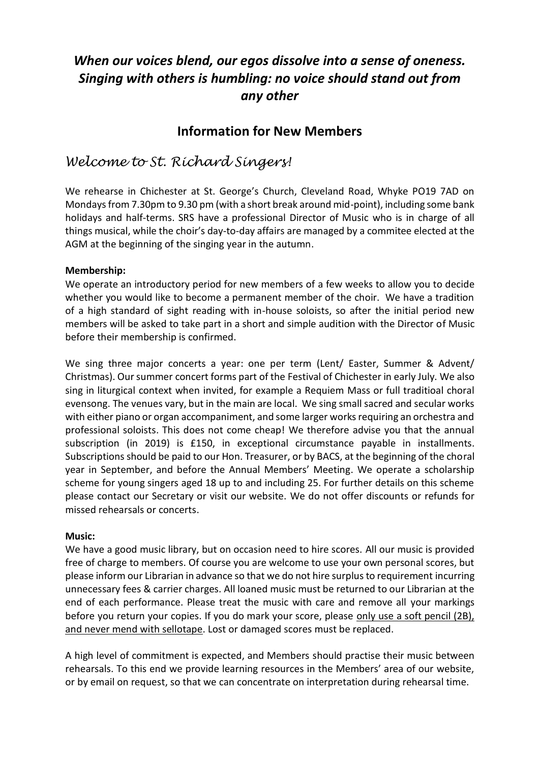# *When our voices blend, our egos dissolve into a sense of oneness. Singing with others is humbling: no voice should stand out from any other*

## **Information for New Members**

# *Welcome to St. Richard Singers!*

We rehearse in Chichester at St. George's Church, Cleveland Road, Whyke PO19 7AD on Mondays from 7.30pm to 9.30 pm (with a short break around mid-point), including some bank holidays and half-terms. SRS have a professional Director of Music who is in charge of all things musical, while the choir's day-to-day affairs are managed by a commitee elected at the AGM at the beginning of the singing year in the autumn.

### **Membership:**

We operate an introductory period for new members of a few weeks to allow you to decide whether you would like to become a permanent member of the choir. We have a tradition of a high standard of sight reading with in-house soloists, so after the initial period new members will be asked to take part in a short and simple audition with the Director of Music before their membership is confirmed.

We sing three major concerts a year: one per term (Lent/ Easter, Summer & Advent/ Christmas). Our summer concert forms part of the Festival of Chichester in early July. We also sing in liturgical context when invited, for example a Requiem Mass or full traditioal choral evensong. The venues vary, but in the main are local. We sing small sacred and secular works with either piano or organ accompaniment, and some larger works requiring an orchestra and professional soloists. This does not come cheap! We therefore advise you that the annual subscription (in 2019) is £150, in exceptional circumstance payable in installments. Subscriptions should be paid to our Hon. Treasurer, or by BACS, at the beginning of the choral year in September, and before the Annual Members' Meeting. We operate a scholarship scheme for young singers aged 18 up to and including 25. For further details on this scheme please contact our Secretary or visit our website. We do not offer discounts or refunds for missed rehearsals or concerts.

#### **Music:**

We have a good music library, but on occasion need to hire scores. All our music is provided free of charge to members. Of course you are welcome to use your own personal scores, but please inform our Librarian in advance so that we do not hire surplus to requirement incurring unnecessary fees & carrier charges. All loaned music must be returned to our Librarian at the end of each performance. Please treat the music with care and remove all your markings before you return your copies. If you do mark your score, please only use a soft pencil (2B), and never mend with sellotape. Lost or damaged scores must be replaced.

A high level of commitment is expected, and Members should practise their music between rehearsals. To this end we provide learning resources in the Members' area of our website, or by email on request, so that we can concentrate on interpretation during rehearsal time.